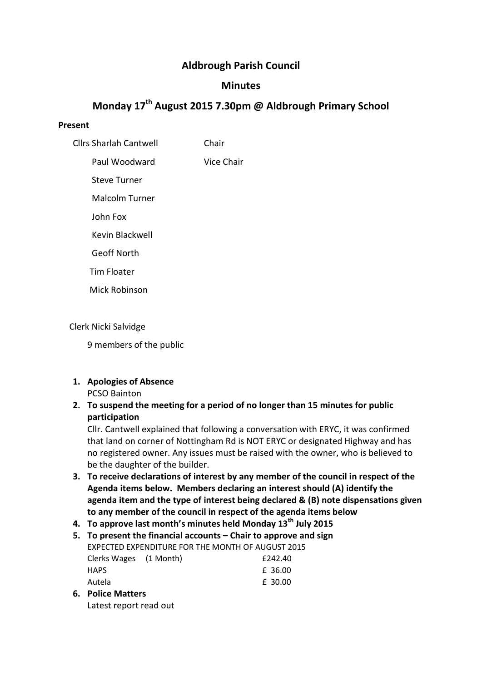# Aldbrough Parish Council

# **Minutes**

# Monday 17<sup>th</sup> August 2015 7.30pm @ Aldbrough Primary School

#### Present

Cllrs Sharlah Cantwell Chair

Paul Woodward Vice Chair

Steve Turner

Malcolm Turner

John Fox

Kevin Blackwell

Geoff North

Tim Floater

Mick Robinson

## Clerk Nicki Salvidge

9 members of the public

#### 1. Apologies of Absence PCSO Bainton

2. To suspend the meeting for a period of no longer than 15 minutes for public participation

Cllr. Cantwell explained that following a conversation with ERYC, it was confirmed that land on corner of Nottingham Rd is NOT ERYC or designated Highway and has no registered owner. Any issues must be raised with the owner, who is believed to be the daughter of the builder.

- 3. To receive declarations of interest by any member of the council in respect of the Agenda items below. Members declaring an interest should (A) identify the agenda item and the type of interest being declared & (B) note dispensations given to any member of the council in respect of the agenda items below
- 4. To approve last month's minutes held Monday  $13<sup>th</sup>$  July 2015

| 5. To present the financial accounts – Chair to approve and sign |  |         |  |
|------------------------------------------------------------------|--|---------|--|
| EXPECTED EXPENDITURE FOR THE MONTH OF AUGUST 2015                |  |         |  |
| Clerks Wages (1 Month)                                           |  | £242.40 |  |
| <b>HAPS</b>                                                      |  | £ 36.00 |  |
| Autela                                                           |  | £ 30.00 |  |
|                                                                  |  |         |  |

6. Police Matters Latest report read out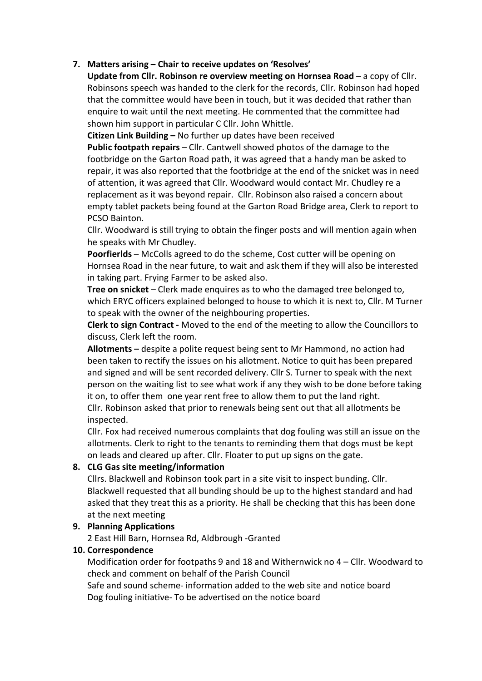## 7. Matters arising – Chair to receive updates on 'Resolves'

Update from Cllr. Robinson re overview meeting on Hornsea Road – a copy of Cllr. Robinsons speech was handed to the clerk for the records, Cllr. Robinson had hoped that the committee would have been in touch, but it was decided that rather than enquire to wait until the next meeting. He commented that the committee had shown him support in particular C Cllr. John Whittle.

Citizen Link Building – No further up dates have been received

Public footpath repairs – Cllr. Cantwell showed photos of the damage to the footbridge on the Garton Road path, it was agreed that a handy man be asked to repair, it was also reported that the footbridge at the end of the snicket was in need of attention, it was agreed that Cllr. Woodward would contact Mr. Chudley re a replacement as it was beyond repair. Cllr. Robinson also raised a concern about empty tablet packets being found at the Garton Road Bridge area, Clerk to report to PCSO Bainton.

Cllr. Woodward is still trying to obtain the finger posts and will mention again when he speaks with Mr Chudley.

Poorfierlds – McColls agreed to do the scheme, Cost cutter will be opening on Hornsea Road in the near future, to wait and ask them if they will also be interested in taking part. Frying Farmer to be asked also.

Tree on snicket – Clerk made enquires as to who the damaged tree belonged to, which ERYC officers explained belonged to house to which it is next to, Cllr. M Turner to speak with the owner of the neighbouring properties.

Clerk to sign Contract - Moved to the end of the meeting to allow the Councillors to discuss, Clerk left the room.

Allotments – despite a polite request being sent to Mr Hammond, no action had been taken to rectify the issues on his allotment. Notice to quit has been prepared and signed and will be sent recorded delivery. Cllr S. Turner to speak with the next person on the waiting list to see what work if any they wish to be done before taking it on, to offer them one year rent free to allow them to put the land right. Cllr. Robinson asked that prior to renewals being sent out that all allotments be

inspected.

Cllr. Fox had received numerous complaints that dog fouling was still an issue on the allotments. Clerk to right to the tenants to reminding them that dogs must be kept on leads and cleared up after. Cllr. Floater to put up signs on the gate.

## 8. CLG Gas site meeting/information

Cllrs. Blackwell and Robinson took part in a site visit to inspect bunding. Cllr. Blackwell requested that all bunding should be up to the highest standard and had asked that they treat this as a priority. He shall be checking that this has been done at the next meeting

## 9. Planning Applications

2 East Hill Barn, Hornsea Rd, Aldbrough -Granted

#### 10. Correspondence

Modification order for footpaths 9 and 18 and Withernwick no 4 – Cllr. Woodward to check and comment on behalf of the Parish Council

Safe and sound scheme- information added to the web site and notice board Dog fouling initiative- To be advertised on the notice board